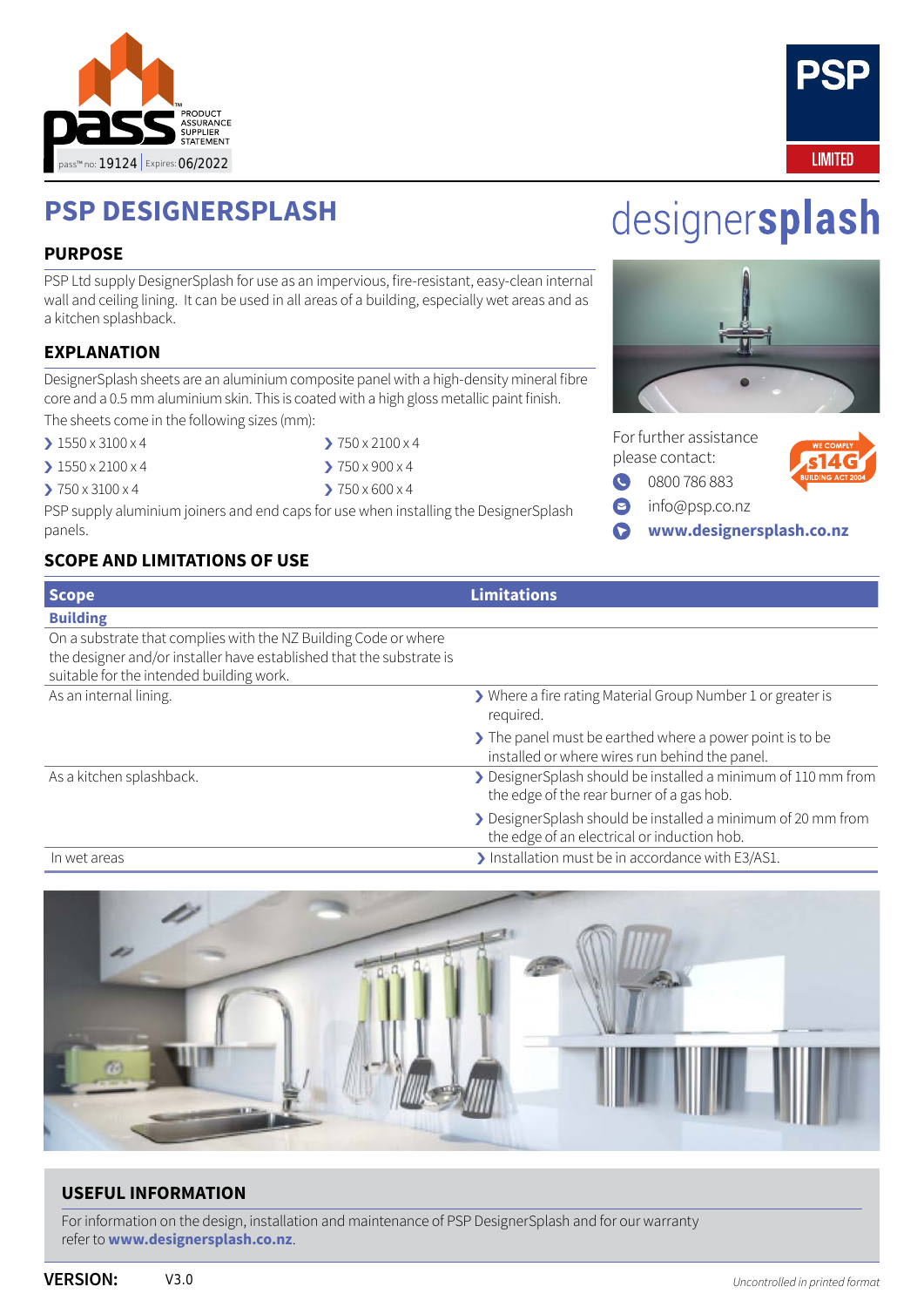



# **PSP DESIGNERSPLASH**

#### **PURPOSE**

PSP Ltd supply DesignerSplash for use as an impervious, fire-resistant, easy-clean internal wall and ceiling lining. It can be used in all areas of a building, especially wet areas and as a kitchen splashback.

## **EXPLANATION**

DesignerSplash sheets are an aluminium composite panel with a high-density mineral fibre core and a 0.5 mm aluminium skin. This is coated with a high gloss metallic paint finish.

The sheets come in the following sizes (mm):

- > 1550 x 3100 x 4
- $\geq 1550 \times 2100 \times 4$
- › 750 x 3100 x 4
- › 750 x 2100 x 4
- $\geq 750 \times 900 \times 4$
- $\geq 750 \times 600 \times 4$

PSP supply aluminium joiners and end caps for use when installing the DesignerSplash panels.

# **SCOPE AND LIMITATIONS OF USE**





|           | For further assistance<br>please contact: | <b>WE COMPLY</b><br><b>Ls14G</b> |
|-----------|-------------------------------------------|----------------------------------|
| $\bullet$ | 0800786883                                | <b>BUILDING ACT 20</b>           |
| 0         | info@psp.co.nz                            |                                  |
| $\bullet$ | www.designersplash.co.nz                  |                                  |

| Scope                                                                                                                                                                               | <b>Limitations</b>                                                                                          |
|-------------------------------------------------------------------------------------------------------------------------------------------------------------------------------------|-------------------------------------------------------------------------------------------------------------|
| <b>Building</b>                                                                                                                                                                     |                                                                                                             |
| On a substrate that complies with the NZ Building Code or where<br>the designer and/or installer have established that the substrate is<br>suitable for the intended building work. |                                                                                                             |
| As an internal lining.                                                                                                                                                              | > Where a fire rating Material Group Number 1 or greater is<br>required.                                    |
|                                                                                                                                                                                     | > The panel must be earthed where a power point is to be<br>installed or where wires run behind the panel.  |
| As a kitchen splashback.                                                                                                                                                            | > DesignerSplash should be installed a minimum of 110 mm from<br>the edge of the rear burner of a gas hob.  |
|                                                                                                                                                                                     | > DesignerSplash should be installed a minimum of 20 mm from<br>the edge of an electrical or induction hob. |
| In wet areas                                                                                                                                                                        | > Installation must be in accordance with E3/AS1.                                                           |



## **USEFUL INFORMATION**

For information on the design, installation and maintenance of PSP DesignerSplash and for our warranty refer to **[www.designersplash.co.nz](https://www.designersplash.co.nz/)**.